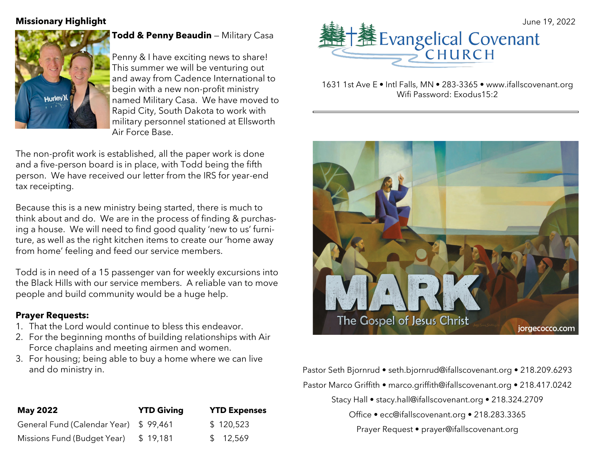

**Todd & Penny Beaudin** - Military Casa

Penny & I have exciting news to share! This summer we will be venturing out and away from Cadence International to begin with a new non-profit ministry named Military Casa. We have moved to Rapid City, South Dakota to work with military personnel stationed at Ellsworth Air Force Base.

The non-profit work is established, all the paper work is done and a five-person board is in place, with Todd being the fifth person. We have received our letter from the IRS for year-end tax receipting.

Because this is a new ministry being started, there is much to think about and do. We are in the process of finding & purchasing a house. We will need to find good quality 'new to us' furniture, as well as the right kitchen items to create our 'home away from home' feeling and feed our service members.

Todd is in need of a 15 passenger van for weekly excursions into the Black Hills with our service members. A reliable van to move people and build community would be a huge help.

#### **Prayer Requests:**

- 1. That the Lord would continue to bless this endeavor.
- 2. For the beginning months of building relationships with Air Force chaplains and meeting airmen and women.
- 3. For housing; being able to buy a home where we can live and do ministry in.



1631 1st Ave E • Intl Falls, MN • 283-3365 • www.ifallscovenant.org Wifi Password: Exodus15:2



Pastor Seth Bjornrud • seth.bjornrud@ifallscovenant.org • 218.209.6293 Pastor Marco Griffith • marco.griffith@ifallscovenant.org • 218.417.0242

Stacy Hall • stacy.hall@ifallscovenant.org • 218.324.2709

Office • ecc@ifallscovenant.org • 218.283.3365

Prayer Request • prayer@ifallscovenant.org

| <b>May 2022</b>                       | <b>YTD Giving</b> | <b>YTD Expenses</b> |
|---------------------------------------|-------------------|---------------------|
| General Fund (Calendar Year) \$99,461 |                   | \$120,523           |
| Missions Fund (Budget Year)           | \$19,181          | \$12,569            |